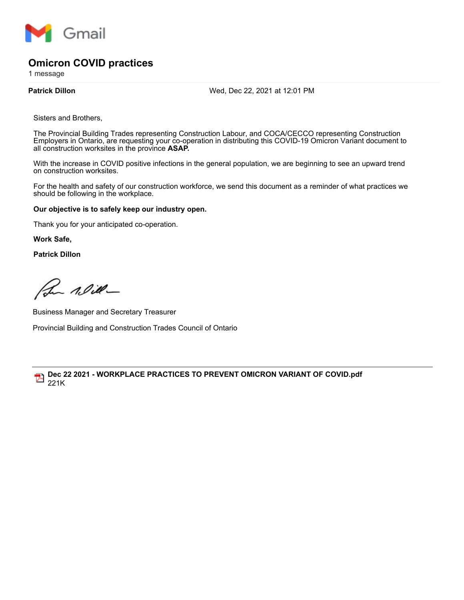

## **Omicron COVID practices**

1 message

**Patrick Dillon** Wed, Dec 22, 2021 at 12:01 PM

Sisters and Brothers,

The Provincial Building Trades representing Construction Labour, and COCA/CECCO representing Construction Employers in Ontario, are requesting your co-operation in distributing this COVID-19 Omicron Variant document to all construction worksites in the province **ASAP.**

With the increase in COVID positive infections in the general population, we are beginning to see an upward trend on construction worksites.

For the health and safety of our construction workforce, we send this document as a reminder of what practices we should be following in the workplace.

## **Our objective is to safely keep our industry open.**

Thank you for your anticipated co-operation.

**Work Safe,**

**Patrick Dillon**

Bu Nill-

Business Manager and Secretary Treasurer Provincial Building and Construction Trades Council of Ontario

**Dec 22 2021 - WORKPLACE PRACTICES TO PREVENT OMICRON VARIANT OF COVID.pdf** 221K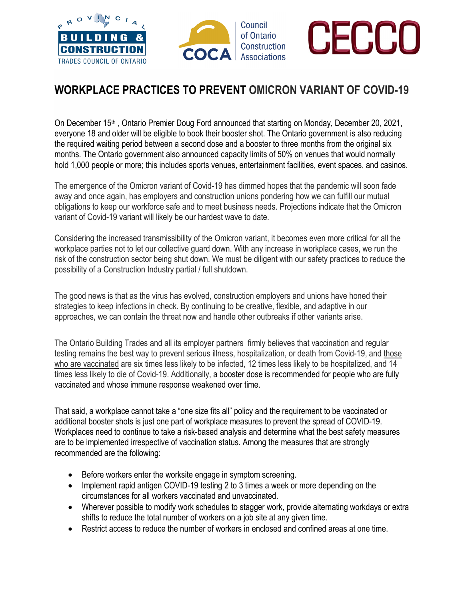





## **WORKPLACE PRACTICES TO PREVENT [OMICRON VARIANT OF COVID-19](https://www.nature.com/articles/d41586-021-03552-w)**

On December 15<sup>th</sup>, Ontario Premier Doug Ford announced that starting on Monday, December 20, 2021, everyone 18 and older will be eligible to book their booster shot. The Ontario government is also reducing the required waiting period between a second dose and a booster to three months from the original six months. The Ontario government also announced capacity limits of 50% on venues that would normally hold 1,000 people or more; this includes sports venues, entertainment facilities, event spaces, and casinos.

The emergence of the [Omicron variant of Covid-19](https://www.nature.com/articles/d41586-021-03552-w) has dimmed hopes that the pandemic will soon fade away and once again, has employers and construction unions pondering how we can fulfill our mutual obligations to keep our workforce safe and to meet business needs. Projections indicate that the Omicron variant of Covid-19 variant will likely be our hardest wave to date.

Considering the increased transmissibility of the Omicron variant, it becomes even more critical for all the workplace parties not to let our collective guard down. With any increase in workplace cases, we run the risk of the construction sector being shut down. We must be diligent with our safety practices to reduce the possibility of a Construction Industry partial / full shutdown.

The good news is that as the virus has evolved, construction employers and unions have honed their strategies to keep infections in check. By continuing to be creative, flexible, and adaptive in our approaches, we can contain the threat now and handle other outbreaks if other variants arise.

The Ontario Building Trades and all its employer partners firmly believes that vaccination and regular testing remains the best way to prevent serious illness, hospitalization, or death from Covid-19, and [those](https://covid.cdc.gov/covid-data-tracker/#rates-by-vaccine-status)  [who are vaccinated](https://covid.cdc.gov/covid-data-tracker/#rates-by-vaccine-status) are six times less likely to be infected, 12 times less likely to be hospitalized, and 14 times less likely to die of Covid-19. Additionally, a booster dose is recommended for people who are fully vaccinated and whose immune response weakened over time.

That said, a workplace cannot take a "one size fits all" policy and the requirement to be vaccinated or additional booster shots is just one part of workplace measures to prevent the spread of COVID-19. Workplaces need to continue to take a risk-based analysis and determine what the best safety measures are to be implemented irrespective of vaccination status. Among the measures that are strongly recommended are the following:

- Before workers enter the worksite engage in symptom screening.
- Implement rapid antigen COVID-19 testing 2 to 3 times a week or more depending on the circumstances for all workers vaccinated and unvaccinated.
- Wherever possible to modify work schedules to stagger work, provide alternating workdays or extra shifts to reduce the total number of workers on a job site at any given time.
- Restrict access to reduce the number of workers in enclosed and confined areas at one time.